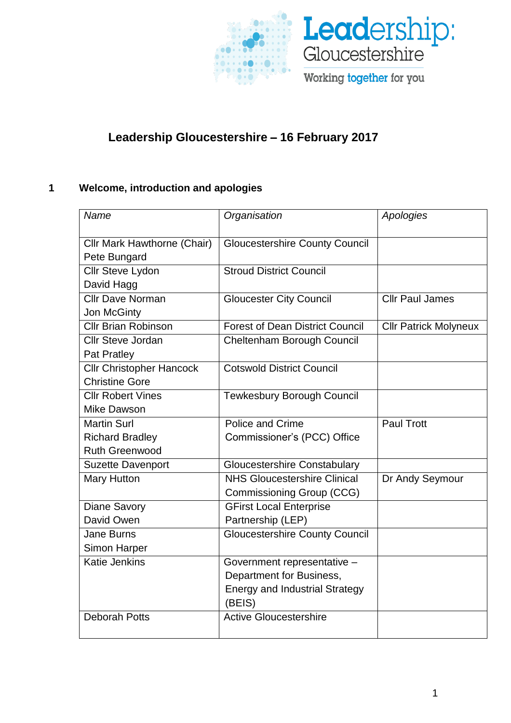

# **Leadership Gloucestershire** – **16 February 2017**

# **1 Welcome, introduction and apologies**

| Name                               | Organisation                           | Apologies                    |
|------------------------------------|----------------------------------------|------------------------------|
| <b>Cllr Mark Hawthorne (Chair)</b> | <b>Gloucestershire County Council</b>  |                              |
| Pete Bungard                       |                                        |                              |
| Cllr Steve Lydon                   | <b>Stroud District Council</b>         |                              |
| David Hagg                         |                                        |                              |
| <b>Cllr Dave Norman</b>            | <b>Gloucester City Council</b>         | <b>Cllr Paul James</b>       |
| Jon McGinty                        |                                        |                              |
| <b>Cllr Brian Robinson</b>         | <b>Forest of Dean District Council</b> | <b>Cllr Patrick Molyneux</b> |
| <b>Cllr Steve Jordan</b>           | Cheltenham Borough Council             |                              |
| Pat Pratley                        |                                        |                              |
| <b>Cllr Christopher Hancock</b>    | <b>Cotswold District Council</b>       |                              |
| <b>Christine Gore</b>              |                                        |                              |
| <b>Cllr Robert Vines</b>           | <b>Tewkesbury Borough Council</b>      |                              |
| Mike Dawson                        |                                        |                              |
| <b>Martin Surl</b>                 | Police and Crime                       | <b>Paul Trott</b>            |
| <b>Richard Bradley</b>             | Commissioner's (PCC) Office            |                              |
| <b>Ruth Greenwood</b>              |                                        |                              |
| <b>Suzette Davenport</b>           | <b>Gloucestershire Constabulary</b>    |                              |
| <b>Mary Hutton</b>                 | <b>NHS Gloucestershire Clinical</b>    | Dr Andy Seymour              |
|                                    | Commissioning Group (CCG)              |                              |
| <b>Diane Savory</b>                | <b>GFirst Local Enterprise</b>         |                              |
| David Owen                         | Partnership (LEP)                      |                              |
| <b>Jane Burns</b>                  | <b>Gloucestershire County Council</b>  |                              |
| <b>Simon Harper</b>                |                                        |                              |
| <b>Katie Jenkins</b>               | Government representative -            |                              |
|                                    | Department for Business,               |                              |
|                                    | <b>Energy and Industrial Strategy</b>  |                              |
|                                    | (BEIS)                                 |                              |
| <b>Deborah Potts</b>               | <b>Active Gloucestershire</b>          |                              |
|                                    |                                        |                              |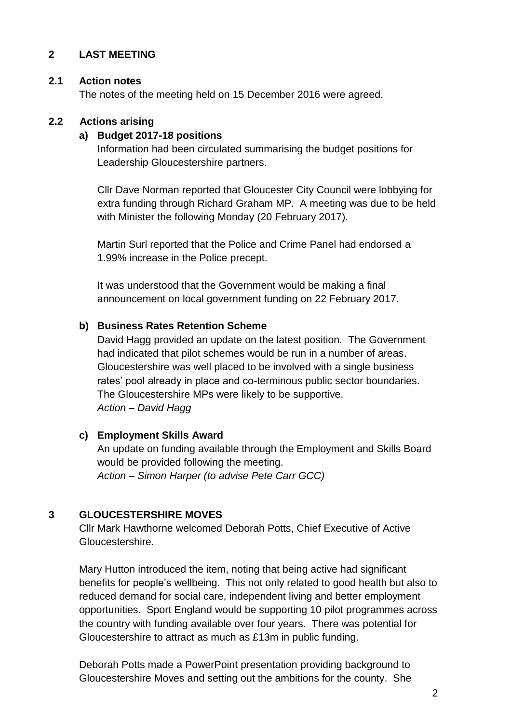# **2 LAST MEETING**

#### **2.1 Action notes**

The notes of the meeting held on 15 December 2016 were agreed.

#### **2.2 Actions arising**

#### **a) Budget 2017-18 positions**

Information had been circulated summarising the budget positions for Leadership Gloucestershire partners.

Cllr Dave Norman reported that Gloucester City Council were lobbying for extra funding through Richard Graham MP. A meeting was due to be held with Minister the following Monday (20 February 2017).

Martin Surl reported that the Police and Crime Panel had endorsed a 1.99% increase in the Police precept.

It was understood that the Government would be making a final announcement on local government funding on 22 February 2017.

#### **b) Business Rates Retention Scheme**

David Hagg provided an update on the latest position. The Government had indicated that pilot schemes would be run in a number of areas. Gloucestershire was well placed to be involved with a single business rates' pool already in place and co-terminous public sector boundaries. The Gloucestershire MPs were likely to be supportive. *Action – David Hagg* 

### **c) Employment Skills Award**

An update on funding available through the Employment and Skills Board would be provided following the meeting. *Action – Simon Harper (to advise Pete Carr GCC)*

### **3 GLOUCESTERSHIRE MOVES**

Cllr Mark Hawthorne welcomed Deborah Potts, Chief Executive of Active Gloucestershire.

Mary Hutton introduced the item, noting that being active had significant benefits for people's wellbeing. This not only related to good health but also to reduced demand for social care, independent living and better employment opportunities. Sport England would be supporting 10 pilot programmes across the country with funding available over four years. There was potential for Gloucestershire to attract as much as £13m in public funding.

Deborah Potts made a PowerPoint presentation providing background to Gloucestershire Moves and setting out the ambitions for the county. She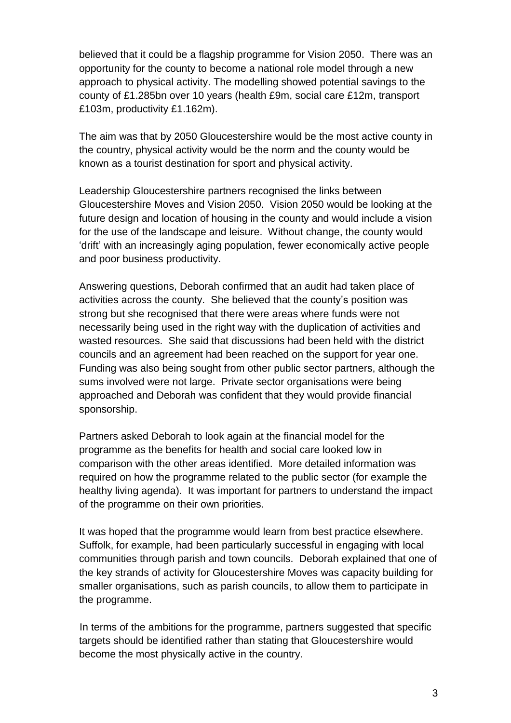believed that it could be a flagship programme for Vision 2050. There was an opportunity for the county to become a national role model through a new approach to physical activity. The modelling showed potential savings to the county of £1.285bn over 10 years (health £9m, social care £12m, transport £103m, productivity £1.162m).

The aim was that by 2050 Gloucestershire would be the most active county in the country, physical activity would be the norm and the county would be known as a tourist destination for sport and physical activity.

Leadership Gloucestershire partners recognised the links between Gloucestershire Moves and Vision 2050. Vision 2050 would be looking at the future design and location of housing in the county and would include a vision for the use of the landscape and leisure. Without change, the county would 'drift' with an increasingly aging population, fewer economically active people and poor business productivity.

Answering questions, Deborah confirmed that an audit had taken place of activities across the county. She believed that the county's position was strong but she recognised that there were areas where funds were not necessarily being used in the right way with the duplication of activities and wasted resources. She said that discussions had been held with the district councils and an agreement had been reached on the support for year one. Funding was also being sought from other public sector partners, although the sums involved were not large. Private sector organisations were being approached and Deborah was confident that they would provide financial sponsorship.

Partners asked Deborah to look again at the financial model for the programme as the benefits for health and social care looked low in comparison with the other areas identified. More detailed information was required on how the programme related to the public sector (for example the healthy living agenda). It was important for partners to understand the impact of the programme on their own priorities.

It was hoped that the programme would learn from best practice elsewhere. Suffolk, for example, had been particularly successful in engaging with local communities through parish and town councils. Deborah explained that one of the key strands of activity for Gloucestershire Moves was capacity building for smaller organisations, such as parish councils, to allow them to participate in the programme.

In terms of the ambitions for the programme, partners suggested that specific targets should be identified rather than stating that Gloucestershire would become the most physically active in the country.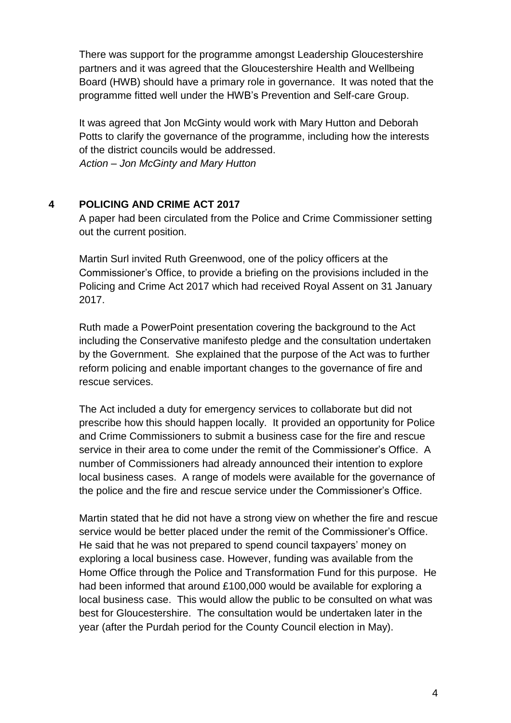There was support for the programme amongst Leadership Gloucestershire partners and it was agreed that the Gloucestershire Health and Wellbeing Board (HWB) should have a primary role in governance. It was noted that the programme fitted well under the HWB's Prevention and Self-care Group.

It was agreed that Jon McGinty would work with Mary Hutton and Deborah Potts to clarify the governance of the programme, including how the interests of the district councils would be addressed. *Action – Jon McGinty and Mary Hutton*

# **4 POLICING AND CRIME ACT 2017**

A paper had been circulated from the Police and Crime Commissioner setting out the current position.

Martin Surl invited Ruth Greenwood, one of the policy officers at the Commissioner's Office, to provide a briefing on the provisions included in the Policing and Crime Act 2017 which had received Royal Assent on 31 January 2017.

Ruth made a PowerPoint presentation covering the background to the Act including the Conservative manifesto pledge and the consultation undertaken by the Government. She explained that the purpose of the Act was to further reform policing and enable important changes to the governance of fire and rescue services.

The Act included a duty for emergency services to collaborate but did not prescribe how this should happen locally. It provided an opportunity for Police and Crime Commissioners to submit a business case for the fire and rescue service in their area to come under the remit of the Commissioner's Office. A number of Commissioners had already announced their intention to explore local business cases. A range of models were available for the governance of the police and the fire and rescue service under the Commissioner's Office.

Martin stated that he did not have a strong view on whether the fire and rescue service would be better placed under the remit of the Commissioner's Office. He said that he was not prepared to spend council taxpayers' money on exploring a local business case. However, funding was available from the Home Office through the Police and Transformation Fund for this purpose. He had been informed that around £100,000 would be available for exploring a local business case. This would allow the public to be consulted on what was best for Gloucestershire. The consultation would be undertaken later in the year (after the Purdah period for the County Council election in May).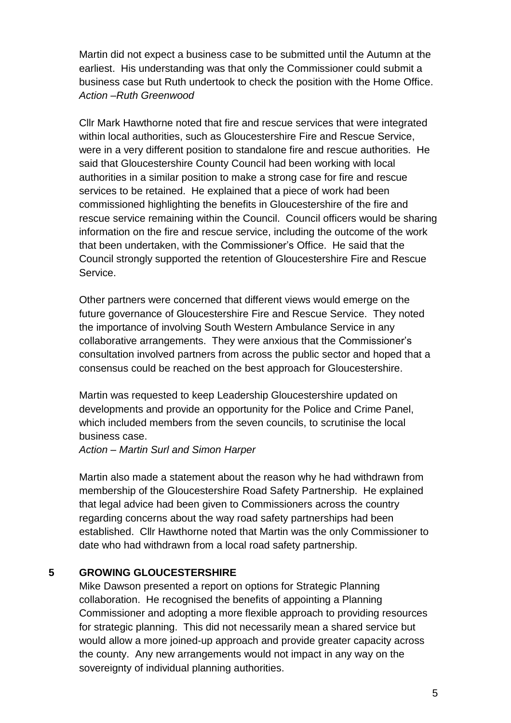Martin did not expect a business case to be submitted until the Autumn at the earliest. His understanding was that only the Commissioner could submit a business case but Ruth undertook to check the position with the Home Office. *Action –Ruth Greenwood*

Cllr Mark Hawthorne noted that fire and rescue services that were integrated within local authorities, such as Gloucestershire Fire and Rescue Service, were in a very different position to standalone fire and rescue authorities. He said that Gloucestershire County Council had been working with local authorities in a similar position to make a strong case for fire and rescue services to be retained. He explained that a piece of work had been commissioned highlighting the benefits in Gloucestershire of the fire and rescue service remaining within the Council. Council officers would be sharing information on the fire and rescue service, including the outcome of the work that been undertaken, with the Commissioner's Office. He said that the Council strongly supported the retention of Gloucestershire Fire and Rescue Service.

Other partners were concerned that different views would emerge on the future governance of Gloucestershire Fire and Rescue Service. They noted the importance of involving South Western Ambulance Service in any collaborative arrangements. They were anxious that the Commissioner's consultation involved partners from across the public sector and hoped that a consensus could be reached on the best approach for Gloucestershire.

Martin was requested to keep Leadership Gloucestershire updated on developments and provide an opportunity for the Police and Crime Panel, which included members from the seven councils, to scrutinise the local business case.

#### *Action – Martin Surl and Simon Harper*

Martin also made a statement about the reason why he had withdrawn from membership of the Gloucestershire Road Safety Partnership. He explained that legal advice had been given to Commissioners across the country regarding concerns about the way road safety partnerships had been established. Cllr Hawthorne noted that Martin was the only Commissioner to date who had withdrawn from a local road safety partnership.

### **5 GROWING GLOUCESTERSHIRE**

Mike Dawson presented a report on options for Strategic Planning collaboration. He recognised the benefits of appointing a Planning Commissioner and adopting a more flexible approach to providing resources for strategic planning. This did not necessarily mean a shared service but would allow a more joined-up approach and provide greater capacity across the county. Any new arrangements would not impact in any way on the sovereignty of individual planning authorities.